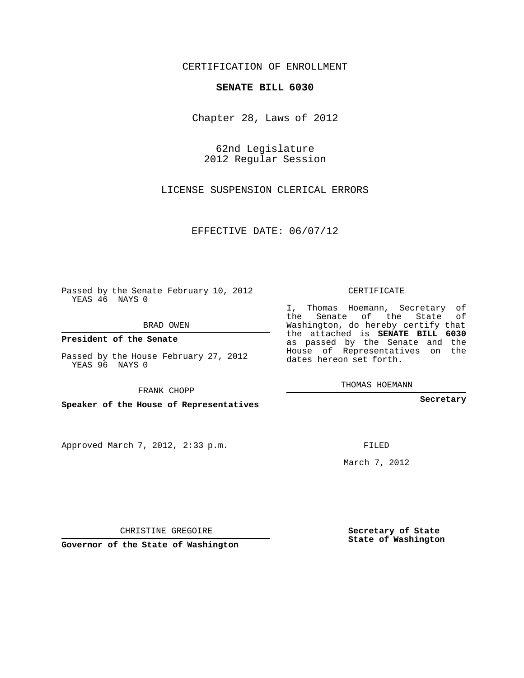## CERTIFICATION OF ENROLLMENT

## **SENATE BILL 6030**

Chapter 28, Laws of 2012

62nd Legislature 2012 Regular Session

LICENSE SUSPENSION CLERICAL ERRORS

EFFECTIVE DATE: 06/07/12

Passed by the Senate February 10, 2012 YEAS 46 NAYS 0

BRAD OWEN

**President of the Senate**

Passed by the House February 27, 2012 YEAS 96 NAYS 0

FRANK CHOPP

**Speaker of the House of Representatives**

Approved March 7, 2012, 2:33 p.m.

CERTIFICATE

I, Thomas Hoemann, Secretary of the Senate of the State of Washington, do hereby certify that the attached is **SENATE BILL 6030** as passed by the Senate and the House of Representatives on the dates hereon set forth.

THOMAS HOEMANN

**Secretary**

FILED

March 7, 2012

**Secretary of State State of Washington**

CHRISTINE GREGOIRE

**Governor of the State of Washington**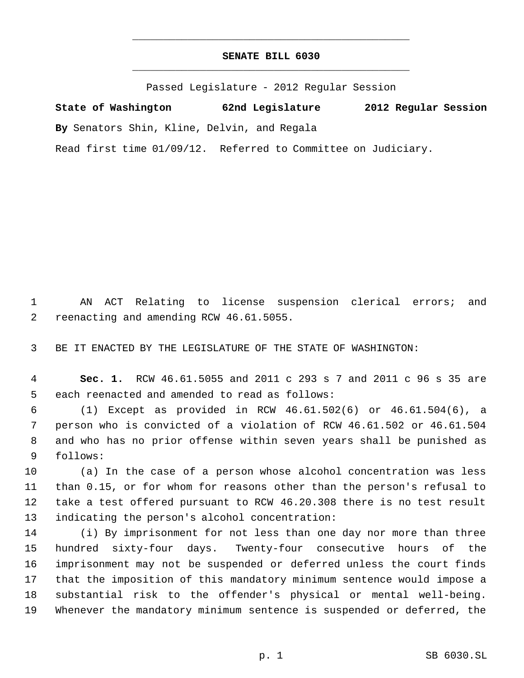## **SENATE BILL 6030** \_\_\_\_\_\_\_\_\_\_\_\_\_\_\_\_\_\_\_\_\_\_\_\_\_\_\_\_\_\_\_\_\_\_\_\_\_\_\_\_\_\_\_\_\_

\_\_\_\_\_\_\_\_\_\_\_\_\_\_\_\_\_\_\_\_\_\_\_\_\_\_\_\_\_\_\_\_\_\_\_\_\_\_\_\_\_\_\_\_\_

Passed Legislature - 2012 Regular Session

**State of Washington 62nd Legislature 2012 Regular Session By** Senators Shin, Kline, Delvin, and Regala Read first time 01/09/12. Referred to Committee on Judiciary.

 AN ACT Relating to license suspension clerical errors; and reenacting and amending RCW 46.61.5055.

BE IT ENACTED BY THE LEGISLATURE OF THE STATE OF WASHINGTON:

 **Sec. 1.** RCW 46.61.5055 and 2011 c 293 s 7 and 2011 c 96 s 35 are each reenacted and amended to read as follows:

 (1) Except as provided in RCW 46.61.502(6) or 46.61.504(6), a person who is convicted of a violation of RCW 46.61.502 or 46.61.504 and who has no prior offense within seven years shall be punished as follows:

 (a) In the case of a person whose alcohol concentration was less than 0.15, or for whom for reasons other than the person's refusal to take a test offered pursuant to RCW 46.20.308 there is no test result indicating the person's alcohol concentration:

 (i) By imprisonment for not less than one day nor more than three hundred sixty-four days. Twenty-four consecutive hours of the imprisonment may not be suspended or deferred unless the court finds that the imposition of this mandatory minimum sentence would impose a substantial risk to the offender's physical or mental well-being. Whenever the mandatory minimum sentence is suspended or deferred, the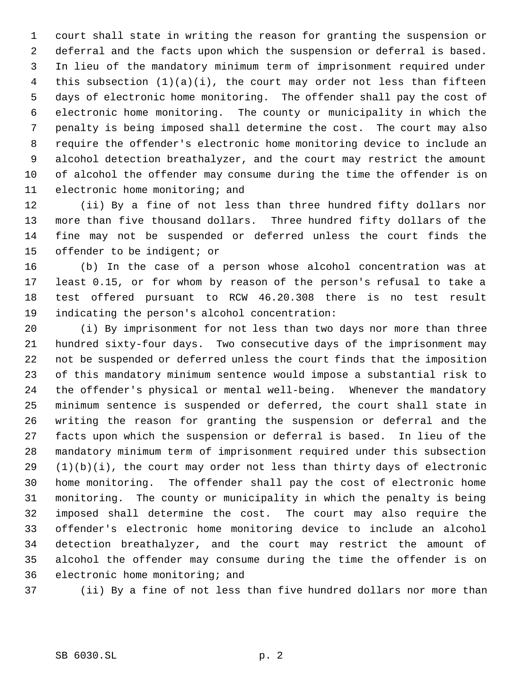court shall state in writing the reason for granting the suspension or deferral and the facts upon which the suspension or deferral is based. In lieu of the mandatory minimum term of imprisonment required under this subsection (1)(a)(i), the court may order not less than fifteen days of electronic home monitoring. The offender shall pay the cost of electronic home monitoring. The county or municipality in which the penalty is being imposed shall determine the cost. The court may also require the offender's electronic home monitoring device to include an alcohol detection breathalyzer, and the court may restrict the amount of alcohol the offender may consume during the time the offender is on electronic home monitoring; and

 (ii) By a fine of not less than three hundred fifty dollars nor more than five thousand dollars. Three hundred fifty dollars of the fine may not be suspended or deferred unless the court finds the offender to be indigent; or

 (b) In the case of a person whose alcohol concentration was at least 0.15, or for whom by reason of the person's refusal to take a test offered pursuant to RCW 46.20.308 there is no test result indicating the person's alcohol concentration:

 (i) By imprisonment for not less than two days nor more than three hundred sixty-four days. Two consecutive days of the imprisonment may not be suspended or deferred unless the court finds that the imposition of this mandatory minimum sentence would impose a substantial risk to the offender's physical or mental well-being. Whenever the mandatory minimum sentence is suspended or deferred, the court shall state in writing the reason for granting the suspension or deferral and the facts upon which the suspension or deferral is based. In lieu of the mandatory minimum term of imprisonment required under this subsection (1)(b)(i), the court may order not less than thirty days of electronic home monitoring. The offender shall pay the cost of electronic home monitoring. The county or municipality in which the penalty is being imposed shall determine the cost. The court may also require the offender's electronic home monitoring device to include an alcohol detection breathalyzer, and the court may restrict the amount of alcohol the offender may consume during the time the offender is on electronic home monitoring; and

(ii) By a fine of not less than five hundred dollars nor more than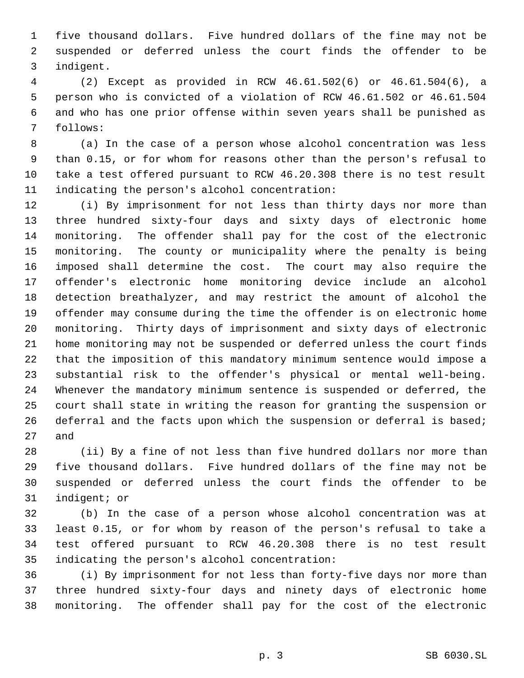five thousand dollars. Five hundred dollars of the fine may not be suspended or deferred unless the court finds the offender to be indigent.

 (2) Except as provided in RCW 46.61.502(6) or 46.61.504(6), a person who is convicted of a violation of RCW 46.61.502 or 46.61.504 and who has one prior offense within seven years shall be punished as follows:

 (a) In the case of a person whose alcohol concentration was less than 0.15, or for whom for reasons other than the person's refusal to take a test offered pursuant to RCW 46.20.308 there is no test result indicating the person's alcohol concentration:

 (i) By imprisonment for not less than thirty days nor more than three hundred sixty-four days and sixty days of electronic home monitoring. The offender shall pay for the cost of the electronic monitoring. The county or municipality where the penalty is being imposed shall determine the cost. The court may also require the offender's electronic home monitoring device include an alcohol detection breathalyzer, and may restrict the amount of alcohol the offender may consume during the time the offender is on electronic home monitoring. Thirty days of imprisonment and sixty days of electronic home monitoring may not be suspended or deferred unless the court finds that the imposition of this mandatory minimum sentence would impose a substantial risk to the offender's physical or mental well-being. Whenever the mandatory minimum sentence is suspended or deferred, the court shall state in writing the reason for granting the suspension or 26 deferral and the facts upon which the suspension or deferral is based; and

 (ii) By a fine of not less than five hundred dollars nor more than five thousand dollars. Five hundred dollars of the fine may not be suspended or deferred unless the court finds the offender to be indigent; or

 (b) In the case of a person whose alcohol concentration was at least 0.15, or for whom by reason of the person's refusal to take a test offered pursuant to RCW 46.20.308 there is no test result indicating the person's alcohol concentration:

 (i) By imprisonment for not less than forty-five days nor more than three hundred sixty-four days and ninety days of electronic home monitoring. The offender shall pay for the cost of the electronic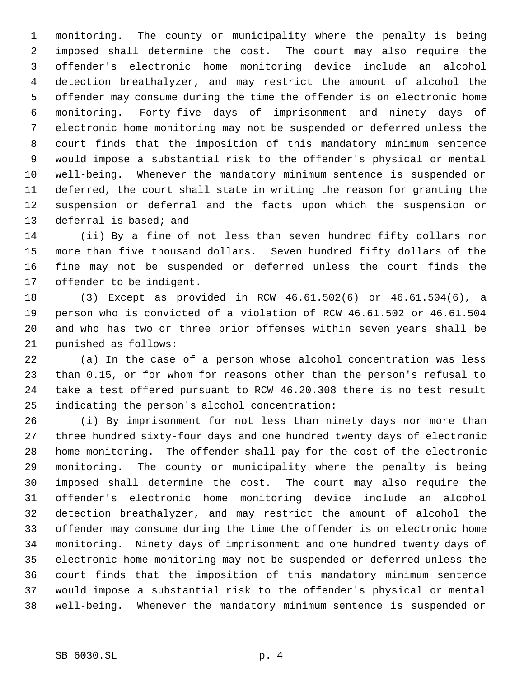monitoring. The county or municipality where the penalty is being imposed shall determine the cost. The court may also require the offender's electronic home monitoring device include an alcohol detection breathalyzer, and may restrict the amount of alcohol the offender may consume during the time the offender is on electronic home monitoring. Forty-five days of imprisonment and ninety days of electronic home monitoring may not be suspended or deferred unless the court finds that the imposition of this mandatory minimum sentence would impose a substantial risk to the offender's physical or mental well-being. Whenever the mandatory minimum sentence is suspended or deferred, the court shall state in writing the reason for granting the suspension or deferral and the facts upon which the suspension or deferral is based; and

 (ii) By a fine of not less than seven hundred fifty dollars nor more than five thousand dollars. Seven hundred fifty dollars of the fine may not be suspended or deferred unless the court finds the offender to be indigent.

 (3) Except as provided in RCW 46.61.502(6) or 46.61.504(6), a person who is convicted of a violation of RCW 46.61.502 or 46.61.504 and who has two or three prior offenses within seven years shall be punished as follows:

 (a) In the case of a person whose alcohol concentration was less than 0.15, or for whom for reasons other than the person's refusal to take a test offered pursuant to RCW 46.20.308 there is no test result indicating the person's alcohol concentration:

 (i) By imprisonment for not less than ninety days nor more than three hundred sixty-four days and one hundred twenty days of electronic home monitoring. The offender shall pay for the cost of the electronic monitoring. The county or municipality where the penalty is being imposed shall determine the cost. The court may also require the offender's electronic home monitoring device include an alcohol detection breathalyzer, and may restrict the amount of alcohol the offender may consume during the time the offender is on electronic home monitoring. Ninety days of imprisonment and one hundred twenty days of electronic home monitoring may not be suspended or deferred unless the court finds that the imposition of this mandatory minimum sentence would impose a substantial risk to the offender's physical or mental well-being. Whenever the mandatory minimum sentence is suspended or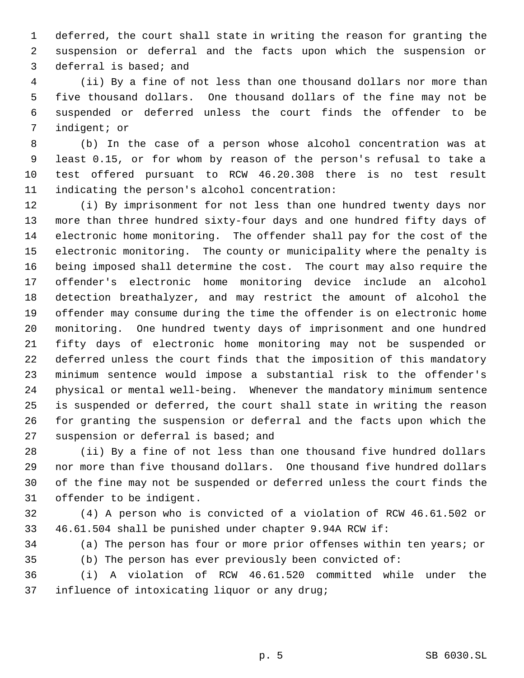deferred, the court shall state in writing the reason for granting the suspension or deferral and the facts upon which the suspension or deferral is based; and

 (ii) By a fine of not less than one thousand dollars nor more than five thousand dollars. One thousand dollars of the fine may not be suspended or deferred unless the court finds the offender to be indigent; or

 (b) In the case of a person whose alcohol concentration was at least 0.15, or for whom by reason of the person's refusal to take a test offered pursuant to RCW 46.20.308 there is no test result indicating the person's alcohol concentration:

 (i) By imprisonment for not less than one hundred twenty days nor more than three hundred sixty-four days and one hundred fifty days of electronic home monitoring. The offender shall pay for the cost of the electronic monitoring. The county or municipality where the penalty is being imposed shall determine the cost. The court may also require the offender's electronic home monitoring device include an alcohol detection breathalyzer, and may restrict the amount of alcohol the offender may consume during the time the offender is on electronic home monitoring. One hundred twenty days of imprisonment and one hundred fifty days of electronic home monitoring may not be suspended or deferred unless the court finds that the imposition of this mandatory minimum sentence would impose a substantial risk to the offender's physical or mental well-being. Whenever the mandatory minimum sentence is suspended or deferred, the court shall state in writing the reason for granting the suspension or deferral and the facts upon which the suspension or deferral is based; and

 (ii) By a fine of not less than one thousand five hundred dollars nor more than five thousand dollars. One thousand five hundred dollars of the fine may not be suspended or deferred unless the court finds the offender to be indigent.

 (4) A person who is convicted of a violation of RCW 46.61.502 or 46.61.504 shall be punished under chapter 9.94A RCW if:

(a) The person has four or more prior offenses within ten years; or

(b) The person has ever previously been convicted of:

 (i) A violation of RCW 46.61.520 committed while under the influence of intoxicating liquor or any drug;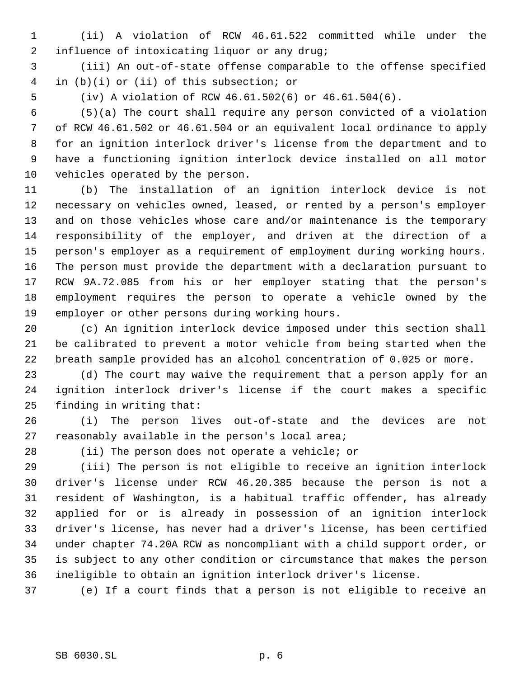(ii) A violation of RCW 46.61.522 committed while under the influence of intoxicating liquor or any drug;

 (iii) An out-of-state offense comparable to the offense specified in (b)(i) or (ii) of this subsection; or

(iv) A violation of RCW 46.61.502(6) or 46.61.504(6).

 (5)(a) The court shall require any person convicted of a violation of RCW 46.61.502 or 46.61.504 or an equivalent local ordinance to apply for an ignition interlock driver's license from the department and to have a functioning ignition interlock device installed on all motor vehicles operated by the person.

 (b) The installation of an ignition interlock device is not necessary on vehicles owned, leased, or rented by a person's employer and on those vehicles whose care and/or maintenance is the temporary responsibility of the employer, and driven at the direction of a person's employer as a requirement of employment during working hours. The person must provide the department with a declaration pursuant to RCW 9A.72.085 from his or her employer stating that the person's employment requires the person to operate a vehicle owned by the employer or other persons during working hours.

 (c) An ignition interlock device imposed under this section shall be calibrated to prevent a motor vehicle from being started when the breath sample provided has an alcohol concentration of 0.025 or more.

 (d) The court may waive the requirement that a person apply for an ignition interlock driver's license if the court makes a specific finding in writing that:

 (i) The person lives out-of-state and the devices are not reasonably available in the person's local area;

(ii) The person does not operate a vehicle; or

 (iii) The person is not eligible to receive an ignition interlock driver's license under RCW 46.20.385 because the person is not a resident of Washington, is a habitual traffic offender, has already applied for or is already in possession of an ignition interlock driver's license, has never had a driver's license, has been certified under chapter 74.20A RCW as noncompliant with a child support order, or is subject to any other condition or circumstance that makes the person ineligible to obtain an ignition interlock driver's license.

(e) If a court finds that a person is not eligible to receive an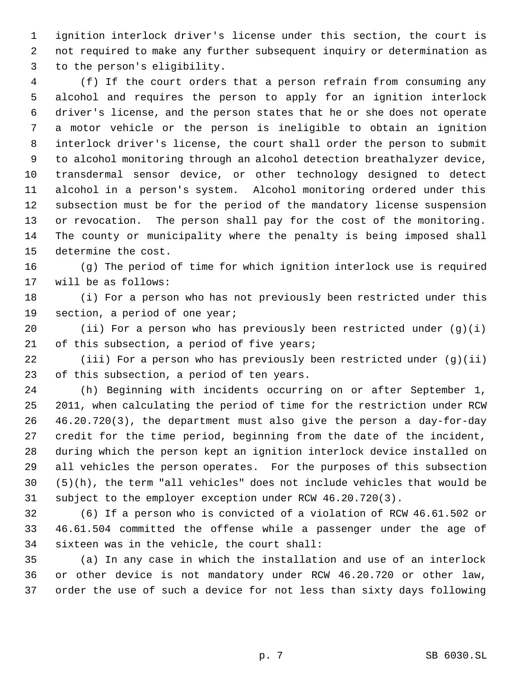ignition interlock driver's license under this section, the court is not required to make any further subsequent inquiry or determination as to the person's eligibility.

 (f) If the court orders that a person refrain from consuming any alcohol and requires the person to apply for an ignition interlock driver's license, and the person states that he or she does not operate a motor vehicle or the person is ineligible to obtain an ignition interlock driver's license, the court shall order the person to submit to alcohol monitoring through an alcohol detection breathalyzer device, transdermal sensor device, or other technology designed to detect alcohol in a person's system. Alcohol monitoring ordered under this subsection must be for the period of the mandatory license suspension or revocation. The person shall pay for the cost of the monitoring. The county or municipality where the penalty is being imposed shall determine the cost.

 (g) The period of time for which ignition interlock use is required will be as follows:

 (i) For a person who has not previously been restricted under this section, a period of one year;

20 (ii) For a person who has previously been restricted under  $(g)(i)$ 21 of this subsection, a period of five years;

 (iii) For a person who has previously been restricted under (g)(ii) of this subsection, a period of ten years.

 (h) Beginning with incidents occurring on or after September 1, 2011, when calculating the period of time for the restriction under RCW 46.20.720(3), the department must also give the person a day-for-day credit for the time period, beginning from the date of the incident, during which the person kept an ignition interlock device installed on all vehicles the person operates. For the purposes of this subsection (5)(h), the term "all vehicles" does not include vehicles that would be subject to the employer exception under RCW 46.20.720(3).

 (6) If a person who is convicted of a violation of RCW 46.61.502 or 46.61.504 committed the offense while a passenger under the age of sixteen was in the vehicle, the court shall:

 (a) In any case in which the installation and use of an interlock or other device is not mandatory under RCW 46.20.720 or other law, order the use of such a device for not less than sixty days following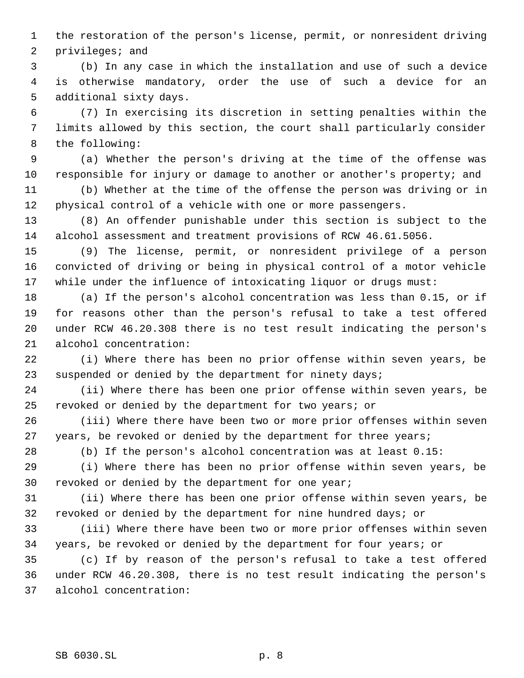the restoration of the person's license, permit, or nonresident driving privileges; and

 (b) In any case in which the installation and use of such a device is otherwise mandatory, order the use of such a device for an additional sixty days.

 (7) In exercising its discretion in setting penalties within the limits allowed by this section, the court shall particularly consider the following:

 (a) Whether the person's driving at the time of the offense was responsible for injury or damage to another or another's property; and

 (b) Whether at the time of the offense the person was driving or in physical control of a vehicle with one or more passengers.

 (8) An offender punishable under this section is subject to the alcohol assessment and treatment provisions of RCW 46.61.5056.

 (9) The license, permit, or nonresident privilege of a person convicted of driving or being in physical control of a motor vehicle while under the influence of intoxicating liquor or drugs must:

 (a) If the person's alcohol concentration was less than 0.15, or if for reasons other than the person's refusal to take a test offered under RCW 46.20.308 there is no test result indicating the person's alcohol concentration:

 (i) Where there has been no prior offense within seven years, be 23 suspended or denied by the department for ninety days;

 (ii) Where there has been one prior offense within seven years, be revoked or denied by the department for two years; or

 (iii) Where there have been two or more prior offenses within seven 27 years, be revoked or denied by the department for three years;

(b) If the person's alcohol concentration was at least 0.15:

 (i) Where there has been no prior offense within seven years, be revoked or denied by the department for one year;

 (ii) Where there has been one prior offense within seven years, be revoked or denied by the department for nine hundred days; or

 (iii) Where there have been two or more prior offenses within seven years, be revoked or denied by the department for four years; or

 (c) If by reason of the person's refusal to take a test offered under RCW 46.20.308, there is no test result indicating the person's alcohol concentration: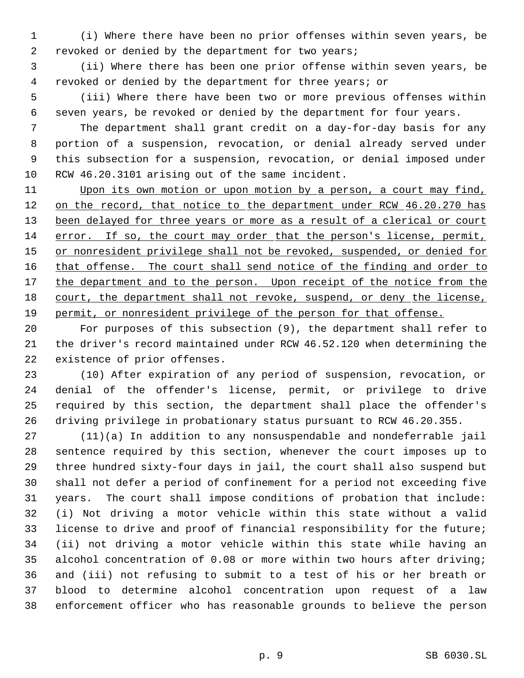(i) Where there have been no prior offenses within seven years, be revoked or denied by the department for two years;

 (ii) Where there has been one prior offense within seven years, be revoked or denied by the department for three years; or

 (iii) Where there have been two or more previous offenses within seven years, be revoked or denied by the department for four years.

 The department shall grant credit on a day-for-day basis for any portion of a suspension, revocation, or denial already served under this subsection for a suspension, revocation, or denial imposed under RCW 46.20.3101 arising out of the same incident.

 Upon its own motion or upon motion by a person, a court may find, 12 on the record, that notice to the department under RCW 46.20.270 has 13 been delayed for three years or more as a result of a clerical or court error. If so, the court may order that the person's license, permit, 15 or nonresident privilege shall not be revoked, suspended, or denied for 16 that offense. The court shall send notice of the finding and order to 17 the department and to the person. Upon receipt of the notice from the court, the department shall not revoke, suspend, or deny the license, 19 permit, or nonresident privilege of the person for that offense.

 For purposes of this subsection (9), the department shall refer to the driver's record maintained under RCW 46.52.120 when determining the existence of prior offenses.

 (10) After expiration of any period of suspension, revocation, or denial of the offender's license, permit, or privilege to drive required by this section, the department shall place the offender's driving privilege in probationary status pursuant to RCW 46.20.355.

 (11)(a) In addition to any nonsuspendable and nondeferrable jail sentence required by this section, whenever the court imposes up to three hundred sixty-four days in jail, the court shall also suspend but shall not defer a period of confinement for a period not exceeding five years. The court shall impose conditions of probation that include: (i) Not driving a motor vehicle within this state without a valid license to drive and proof of financial responsibility for the future; (ii) not driving a motor vehicle within this state while having an alcohol concentration of 0.08 or more within two hours after driving; and (iii) not refusing to submit to a test of his or her breath or blood to determine alcohol concentration upon request of a law enforcement officer who has reasonable grounds to believe the person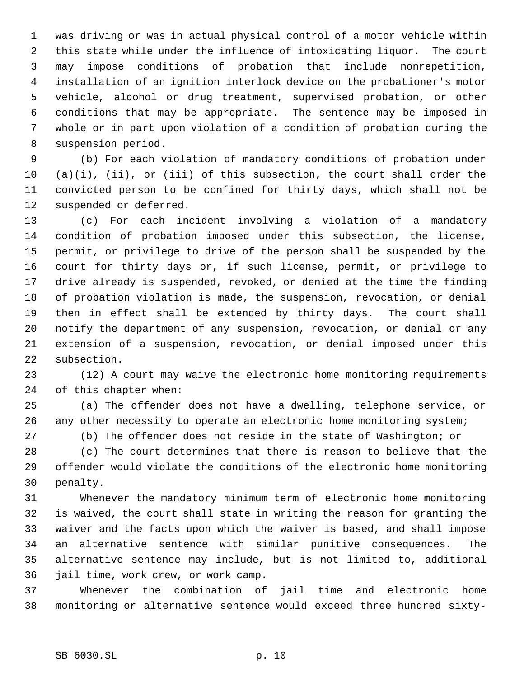was driving or was in actual physical control of a motor vehicle within this state while under the influence of intoxicating liquor. The court may impose conditions of probation that include nonrepetition, installation of an ignition interlock device on the probationer's motor vehicle, alcohol or drug treatment, supervised probation, or other conditions that may be appropriate. The sentence may be imposed in whole or in part upon violation of a condition of probation during the suspension period.

 (b) For each violation of mandatory conditions of probation under (a)(i), (ii), or (iii) of this subsection, the court shall order the convicted person to be confined for thirty days, which shall not be suspended or deferred.

 (c) For each incident involving a violation of a mandatory condition of probation imposed under this subsection, the license, permit, or privilege to drive of the person shall be suspended by the court for thirty days or, if such license, permit, or privilege to drive already is suspended, revoked, or denied at the time the finding of probation violation is made, the suspension, revocation, or denial then in effect shall be extended by thirty days. The court shall notify the department of any suspension, revocation, or denial or any extension of a suspension, revocation, or denial imposed under this subsection.

 (12) A court may waive the electronic home monitoring requirements of this chapter when:

 (a) The offender does not have a dwelling, telephone service, or 26 any other necessity to operate an electronic home monitoring system;

(b) The offender does not reside in the state of Washington; or

 (c) The court determines that there is reason to believe that the offender would violate the conditions of the electronic home monitoring penalty.

 Whenever the mandatory minimum term of electronic home monitoring is waived, the court shall state in writing the reason for granting the waiver and the facts upon which the waiver is based, and shall impose an alternative sentence with similar punitive consequences. The alternative sentence may include, but is not limited to, additional jail time, work crew, or work camp.

 Whenever the combination of jail time and electronic home monitoring or alternative sentence would exceed three hundred sixty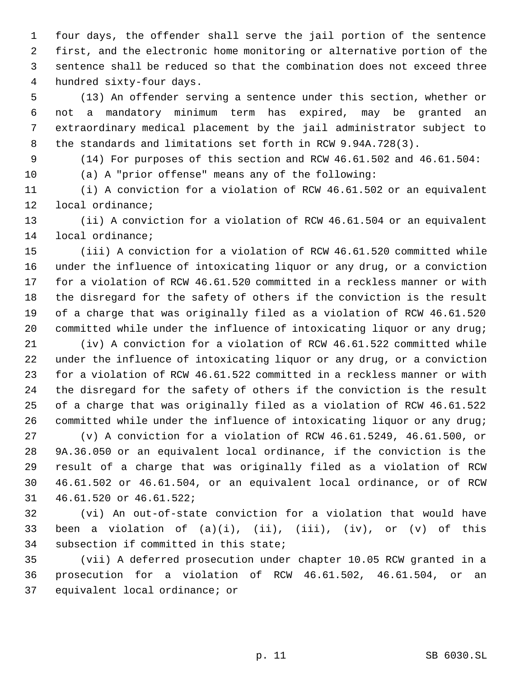four days, the offender shall serve the jail portion of the sentence first, and the electronic home monitoring or alternative portion of the sentence shall be reduced so that the combination does not exceed three hundred sixty-four days.

 (13) An offender serving a sentence under this section, whether or not a mandatory minimum term has expired, may be granted an extraordinary medical placement by the jail administrator subject to the standards and limitations set forth in RCW 9.94A.728(3).

- 
- 

(14) For purposes of this section and RCW 46.61.502 and 46.61.504:

(a) A "prior offense" means any of the following:

 (i) A conviction for a violation of RCW 46.61.502 or an equivalent local ordinance;

 (ii) A conviction for a violation of RCW 46.61.504 or an equivalent local ordinance;

 (iii) A conviction for a violation of RCW 46.61.520 committed while under the influence of intoxicating liquor or any drug, or a conviction for a violation of RCW 46.61.520 committed in a reckless manner or with the disregard for the safety of others if the conviction is the result of a charge that was originally filed as a violation of RCW 46.61.520 20 committed while under the influence of intoxicating liquor or any drug;

 (iv) A conviction for a violation of RCW 46.61.522 committed while under the influence of intoxicating liquor or any drug, or a conviction for a violation of RCW 46.61.522 committed in a reckless manner or with the disregard for the safety of others if the conviction is the result of a charge that was originally filed as a violation of RCW 46.61.522 committed while under the influence of intoxicating liquor or any drug; (v) A conviction for a violation of RCW 46.61.5249, 46.61.500, or 9A.36.050 or an equivalent local ordinance, if the conviction is the result of a charge that was originally filed as a violation of RCW 46.61.502 or 46.61.504, or an equivalent local ordinance, or of RCW

46.61.520 or 46.61.522;

 (vi) An out-of-state conviction for a violation that would have 33 been a violation of  $(a)(i)$ ,  $(ii)$ ,  $(iii)$ ,  $(iv)$ , or  $(v)$  of this subsection if committed in this state;

 (vii) A deferred prosecution under chapter 10.05 RCW granted in a prosecution for a violation of RCW 46.61.502, 46.61.504, or an equivalent local ordinance; or